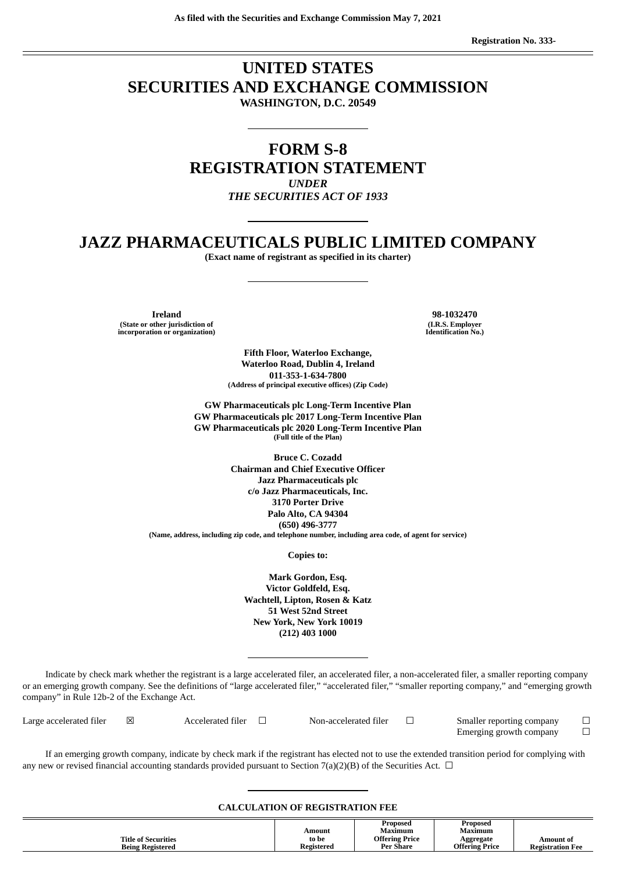# **UNITED STATES SECURITIES AND EXCHANGE COMMISSION WASHINGTON, D.C. 20549**

# **FORM S-8 REGISTRATION STATEMENT** *UNDER THE SECURITIES ACT OF 1933*

# **JAZZ PHARMACEUTICALS PUBLIC LIMITED COMPANY**

**(Exact name of registrant as specified in its charter)**

**Ireland 98-1032470 (State or other jurisdiction of incorporation or organization)**

**(I.R.S. Employer Identification No.)**

**Fifth Floor, Waterloo Exchange, Waterloo Road, Dublin 4, Ireland 011-353-1-634-7800 (Address of principal executive offices) (Zip Code)**

**GW Pharmaceuticals plc Long-Term Incentive Plan GW Pharmaceuticals plc 2017 Long-Term Incentive Plan GW Pharmaceuticals plc 2020 Long-Term Incentive Plan (Full title of the Plan)**

**Bruce C. Cozadd Chairman and Chief Executive Officer Jazz Pharmaceuticals plc c/o Jazz Pharmaceuticals, Inc. 3170 Porter Drive Palo Alto, CA 94304 (650) 496-3777 (Name, address, including zip code, and telephone number, including area code, of agent for service)**

**Copies to:**

**Mark Gordon, Esq. Victor Goldfeld, Esq. Wachtell, Lipton, Rosen & Katz 51 West 52nd Street New York, New York 10019 (212) 403 1000**

Indicate by check mark whether the registrant is a large accelerated filer, an accelerated filer, a non-accelerated filer, a smaller reporting company or an emerging growth company. See the definitions of "large accelerated filer," "accelerated filer," "smaller reporting company," and "emerging growth company" in Rule 12b-2 of the Exchange Act.

| Large accelerated filer | Accelerated filer | Non-accelerated filer | Smaller reporting company |  |
|-------------------------|-------------------|-----------------------|---------------------------|--|
|                         |                   |                       | Emerging growth company   |  |

If an emerging growth company, indicate by check mark if the registrant has elected not to use the extended transition period for complying with any new or revised financial accounting standards provided pursuant to Section 7(a)(2)(B) of the Securities Act.  $\Box$ 

#### **CALCULATION OF REGISTRATION FEE**

|                            |            | Proposed              | Proposed       |                         |
|----------------------------|------------|-----------------------|----------------|-------------------------|
|                            | Amount     | Maximum               | Maximum        |                         |
| <b>Title of Securities</b> | to be      | <b>Offering Price</b> | Aggregate      | Amount of               |
| <b>Being Registered</b>    | Registered | <b>Per Share</b>      | Offering Price | <b>Registration Fee</b> |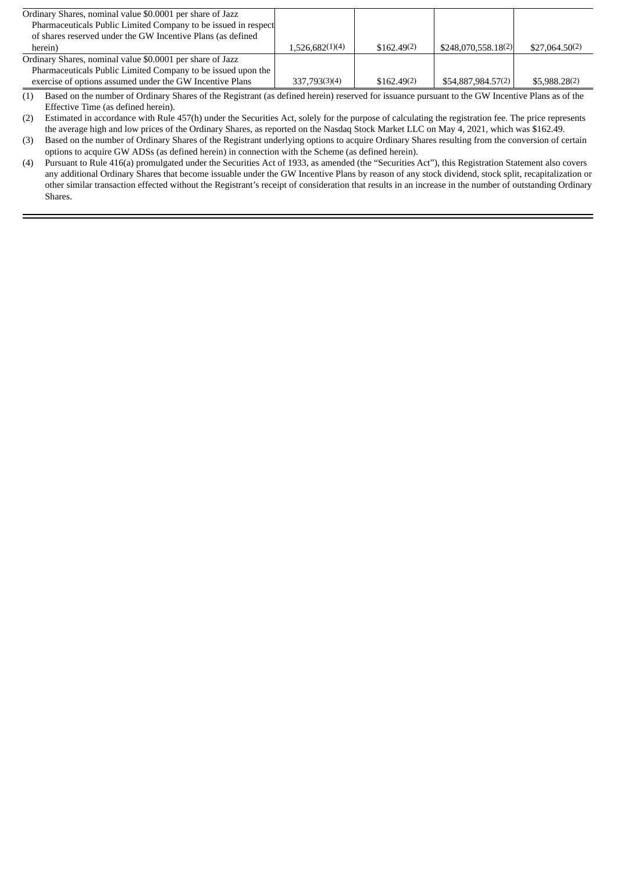| Ordinary Shares, nominal value \$0.0001 per share of Jazz      |                 |             |                     |                |
|----------------------------------------------------------------|-----------------|-------------|---------------------|----------------|
| Pharmaceuticals Public Limited Company to be issued in respect |                 |             |                     |                |
| of shares reserved under the GW Incentive Plans (as defined    |                 |             |                     |                |
| herein)                                                        | 1,526,682(1)(4) | \$162,49(2) | \$248,070,558,18(2) | \$27,064.50(2) |
| Ordinary Shares, nominal value \$0.0001 per share of Jazz      |                 |             |                     |                |
| Pharmaceuticals Public Limited Company to be issued upon the   |                 |             |                     |                |
| exercise of options assumed under the GW Incentive Plans       | 337,793(3)(4)   | \$162.49(2) | \$54,887,984.57(2)  | \$5,988.28(2)  |

 $(1)$  Based on the number of Ordinary Shares of the Registrant (as defined herein) reserved for issuance pursuant to the GW Incentive Plans as of the Effective Time (as defined herein).

(2) Estimated in accordance with Rule 457(h) under the Securities Act, solely for the purpose of calculating the registration fee. The price represents the average high and low prices of the Ordinary Shares, as reported on the Nasdaq Stock Market LLC on May 4, 2021, which was \$162.49.

(3) Based on the number of Ordinary Shares of the Registrant underlying options to acquire Ordinary Shares resulting from the conversion of certain options to acquire GW ADSs (as defined herein) in connection with the Scheme (as defined herein).

(4) Pursuant to Rule 416(a) promulgated under the Securities Act of 1933, as amended (the "Securities Act"), this Registration Statement also covers any additional Ordinary Shares that become issuable under the GW Incentive Plans by reason of any stock dividend, stock split, recapitalization or other similar transaction effected without the Registrant's receipt of consideration that results in an increase in the number of outstanding Ordinary Shares.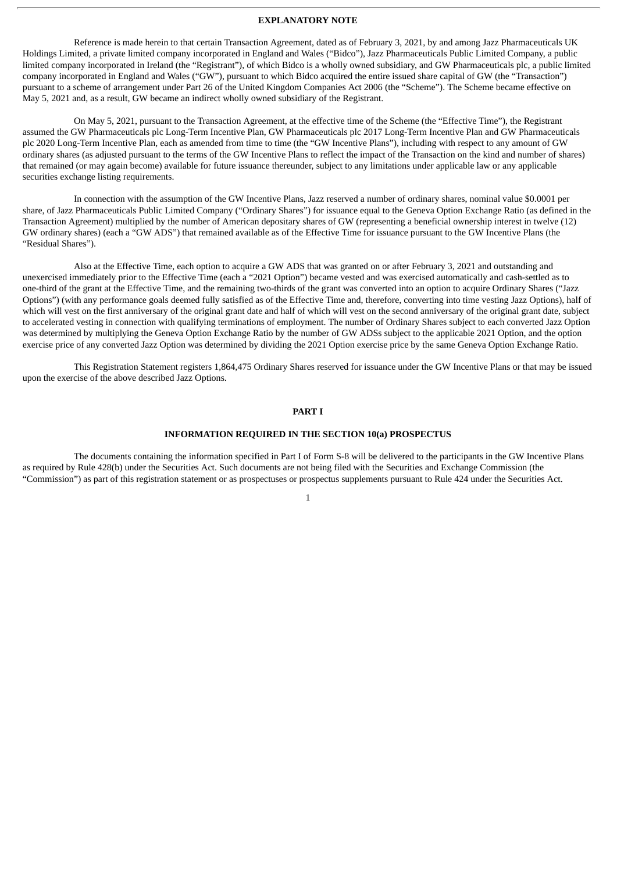## **EXPLANATORY NOTE**

Reference is made herein to that certain Transaction Agreement, dated as of February 3, 2021, by and among Jazz Pharmaceuticals UK Holdings Limited, a private limited company incorporated in England and Wales ("Bidco"), Jazz Pharmaceuticals Public Limited Company, a public limited company incorporated in Ireland (the "Registrant"), of which Bidco is a wholly owned subsidiary, and GW Pharmaceuticals plc, a public limited company incorporated in England and Wales ("GW"), pursuant to which Bidco acquired the entire issued share capital of GW (the "Transaction") pursuant to a scheme of arrangement under Part 26 of the United Kingdom Companies Act 2006 (the "Scheme"). The Scheme became effective on May 5, 2021 and, as a result, GW became an indirect wholly owned subsidiary of the Registrant.

On May 5, 2021, pursuant to the Transaction Agreement, at the effective time of the Scheme (the "Effective Time"), the Registrant assumed the GW Pharmaceuticals plc Long-Term Incentive Plan, GW Pharmaceuticals plc 2017 Long-Term Incentive Plan and GW Pharmaceuticals plc 2020 Long-Term Incentive Plan, each as amended from time to time (the "GW Incentive Plans"), including with respect to any amount of GW ordinary shares (as adjusted pursuant to the terms of the GW Incentive Plans to reflect the impact of the Transaction on the kind and number of shares) that remained (or may again become) available for future issuance thereunder, subject to any limitations under applicable law or any applicable securities exchange listing requirements.

In connection with the assumption of the GW Incentive Plans, Jazz reserved a number of ordinary shares, nominal value \$0.0001 per share, of Jazz Pharmaceuticals Public Limited Company ("Ordinary Shares") for issuance equal to the Geneva Option Exchange Ratio (as defined in the Transaction Agreement) multiplied by the number of American depositary shares of GW (representing a beneficial ownership interest in twelve (12) GW ordinary shares) (each a "GW ADS") that remained available as of the Effective Time for issuance pursuant to the GW Incentive Plans (the "Residual Shares").

Also at the Effective Time, each option to acquire a GW ADS that was granted on or after February 3, 2021 and outstanding and unexercised immediately prior to the Effective Time (each a "2021 Option") became vested and was exercised automatically and cash-settled as to one-third of the grant at the Effective Time, and the remaining two-thirds of the grant was converted into an option to acquire Ordinary Shares ("Jazz Options") (with any performance goals deemed fully satisfied as of the Effective Time and, therefore, converting into time vesting Jazz Options), half of which will vest on the first anniversary of the original grant date and half of which will vest on the second anniversary of the original grant date, subject to accelerated vesting in connection with qualifying terminations of employment. The number of Ordinary Shares subject to each converted Jazz Option was determined by multiplying the Geneva Option Exchange Ratio by the number of GW ADSs subject to the applicable 2021 Option, and the option exercise price of any converted Jazz Option was determined by dividing the 2021 Option exercise price by the same Geneva Option Exchange Ratio.

This Registration Statement registers 1,864,475 Ordinary Shares reserved for issuance under the GW Incentive Plans or that may be issued upon the exercise of the above described Jazz Options.

#### **PART I**

### **INFORMATION REQUIRED IN THE SECTION 10(a) PROSPECTUS**

The documents containing the information specified in Part I of Form S-8 will be delivered to the participants in the GW Incentive Plans as required by Rule 428(b) under the Securities Act. Such documents are not being filed with the Securities and Exchange Commission (the "Commission") as part of this registration statement or as prospectuses or prospectus supplements pursuant to Rule 424 under the Securities Act.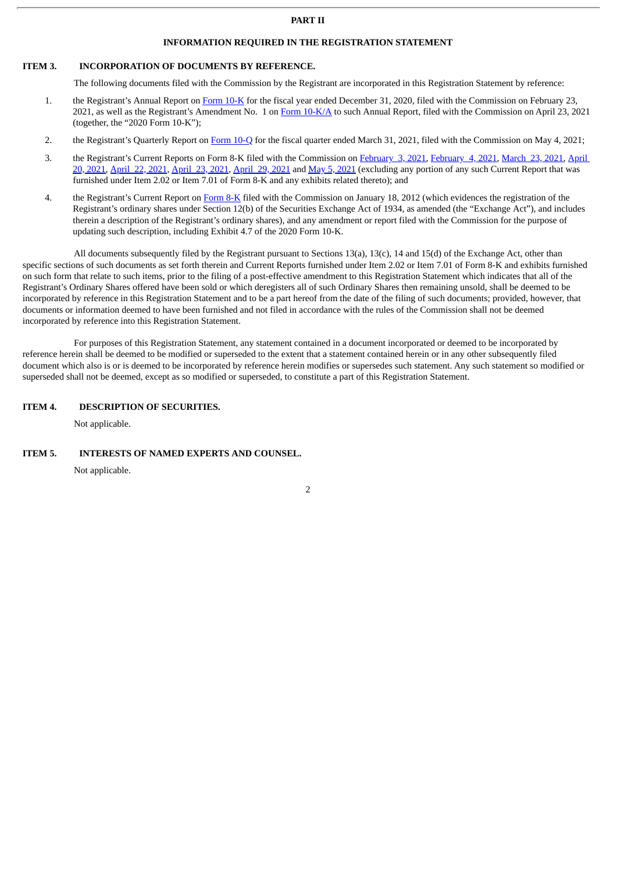## **PART II**

## **INFORMATION REQUIRED IN THE REGISTRATION STATEMENT**

## **ITEM 3. INCORPORATION OF DOCUMENTS BY REFERENCE.**

The following documents filed with the Commission by the Registrant are incorporated in this Registration Statement by reference:

- 1. the Registrant's Annual Report on [Form](http://www.sec.gov/ix?doc=/Archives/edgar/data/0001232524/000123252421000016/jazz-20201231.htm) 10-K for the fiscal year ended December 31, 2020, filed with the Commission on February 23, 2021, as well as the Registrant's Amendment No. 1 on Form [10-K/A](http://www.sec.gov/ix?doc=/Archives/edgar/data/0001232524/000119312521129101/d127043d10ka.htm) to such Annual Report, filed with the Commission on April 23, 2021 (together, the "2020 Form 10-K");
- 2. the Registrant's Quarterly Report on [Form](http://www.sec.gov/ix?doc=/Archives/edgar/data/0001232524/000123252421000031/jazz-20210331.htm) 10-Q for the fiscal quarter ended March 31, 2021, filed with the Commission on May 4, 2021;
- 3. the Registrant's Current Reports on Form 8-K filed with the [Commission](http://www.sec.gov/ix?doc=/Archives/edgar/data/0001232524/000119312521122059/d141575d8k.htm) on [February](http://www.sec.gov/ix?doc=/Archives/edgar/data/0001232524/000119312521026454/d124759d8k.htm) 3, 2021, [February](http://www.sec.gov/ix?doc=/Archives/edgar/data/0001232524/000119312521027577/d117870d8k.htm) 4, 2021, [March](http://www.sec.gov/ix?doc=/Archives/edgar/data/0001232524/000119312521091245/d126484d8k.htm) 23, 2021, April 20, 2021, [April](http://www.sec.gov/ix?doc=/Archives/edgar/data/0001232524/000119312521140517/d191392d8k.htm) 22, [2021](http://www.sec.gov/ix?doc=/Archives/edgar/data/0001232524/000119312521151714/d186026d8k.htm), April 23, 2021, April 29, 2021 and May 5, 2021 (excluding any portion of any such Current Report that was furnished under Item 2.02 or Item 7.01 of Form 8-K and any exhibits related thereto); and
- 4. the Registrant's Current Report on [Form](http://www.sec.gov/Archives/edgar/data/1232524/000119312512015521/d282897d8k12b.htm) 8-K filed with the Commission on January 18, 2012 (which evidences the registration of the Registrant's ordinary shares under Section 12(b) of the Securities Exchange Act of 1934, as amended (the "Exchange Act"), and includes therein a description of the Registrant's ordinary shares), and any amendment or report filed with the Commission for the purpose of updating such description, including Exhibit 4.7 of the 2020 Form 10-K.

All documents subsequently filed by the Registrant pursuant to Sections 13(a), 13(c), 14 and 15(d) of the Exchange Act, other than specific sections of such documents as set forth therein and Current Reports furnished under Item 2.02 or Item 7.01 of Form 8-K and exhibits furnished on such form that relate to such items, prior to the filing of a post-effective amendment to this Registration Statement which indicates that all of the Registrant's Ordinary Shares offered have been sold or which deregisters all of such Ordinary Shares then remaining unsold, shall be deemed to be incorporated by reference in this Registration Statement and to be a part hereof from the date of the filing of such documents; provided, however, that documents or information deemed to have been furnished and not filed in accordance with the rules of the Commission shall not be deemed incorporated by reference into this Registration Statement.

For purposes of this Registration Statement, any statement contained in a document incorporated or deemed to be incorporated by reference herein shall be deemed to be modified or superseded to the extent that a statement contained herein or in any other subsequently filed document which also is or is deemed to be incorporated by reference herein modifies or supersedes such statement. Any such statement so modified or superseded shall not be deemed, except as so modified or superseded, to constitute a part of this Registration Statement.

## **ITEM 4. DESCRIPTION OF SECURITIES.**

Not applicable.

#### **ITEM 5. INTERESTS OF NAMED EXPERTS AND COUNSEL.**

Not applicable.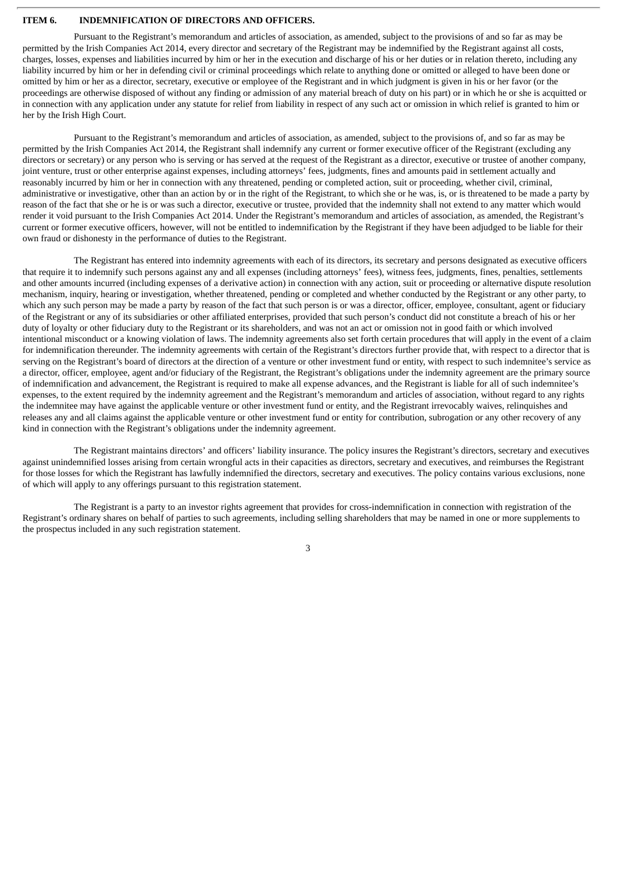## **ITEM 6. INDEMNIFICATION OF DIRECTORS AND OFFICERS.**

Pursuant to the Registrant's memorandum and articles of association, as amended, subject to the provisions of and so far as may be permitted by the Irish Companies Act 2014, every director and secretary of the Registrant may be indemnified by the Registrant against all costs, charges, losses, expenses and liabilities incurred by him or her in the execution and discharge of his or her duties or in relation thereto, including any liability incurred by him or her in defending civil or criminal proceedings which relate to anything done or omitted or alleged to have been done or omitted by him or her as a director, secretary, executive or employee of the Registrant and in which judgment is given in his or her favor (or the proceedings are otherwise disposed of without any finding or admission of any material breach of duty on his part) or in which he or she is acquitted or in connection with any application under any statute for relief from liability in respect of any such act or omission in which relief is granted to him or her by the Irish High Court.

Pursuant to the Registrant's memorandum and articles of association, as amended, subject to the provisions of, and so far as may be permitted by the Irish Companies Act 2014, the Registrant shall indemnify any current or former executive officer of the Registrant (excluding any directors or secretary) or any person who is serving or has served at the request of the Registrant as a director, executive or trustee of another company, joint venture, trust or other enterprise against expenses, including attorneys' fees, judgments, fines and amounts paid in settlement actually and reasonably incurred by him or her in connection with any threatened, pending or completed action, suit or proceeding, whether civil, criminal, administrative or investigative, other than an action by or in the right of the Registrant, to which she or he was, is, or is threatened to be made a party by reason of the fact that she or he is or was such a director, executive or trustee, provided that the indemnity shall not extend to any matter which would render it void pursuant to the Irish Companies Act 2014. Under the Registrant's memorandum and articles of association, as amended, the Registrant's current or former executive officers, however, will not be entitled to indemnification by the Registrant if they have been adjudged to be liable for their own fraud or dishonesty in the performance of duties to the Registrant.

The Registrant has entered into indemnity agreements with each of its directors, its secretary and persons designated as executive officers that require it to indemnify such persons against any and all expenses (including attorneys' fees), witness fees, judgments, fines, penalties, settlements and other amounts incurred (including expenses of a derivative action) in connection with any action, suit or proceeding or alternative dispute resolution mechanism, inquiry, hearing or investigation, whether threatened, pending or completed and whether conducted by the Registrant or any other party, to which any such person may be made a party by reason of the fact that such person is or was a director, officer, employee, consultant, agent or fiduciary of the Registrant or any of its subsidiaries or other affiliated enterprises, provided that such person's conduct did not constitute a breach of his or her duty of loyalty or other fiduciary duty to the Registrant or its shareholders, and was not an act or omission not in good faith or which involved intentional misconduct or a knowing violation of laws. The indemnity agreements also set forth certain procedures that will apply in the event of a claim for indemnification thereunder. The indemnity agreements with certain of the Registrant's directors further provide that, with respect to a director that is serving on the Registrant's board of directors at the direction of a venture or other investment fund or entity, with respect to such indemnitee's service as a director, officer, employee, agent and/or fiduciary of the Registrant, the Registrant's obligations under the indemnity agreement are the primary source of indemnification and advancement, the Registrant is required to make all expense advances, and the Registrant is liable for all of such indemnitee's expenses, to the extent required by the indemnity agreement and the Registrant's memorandum and articles of association, without regard to any rights the indemnitee may have against the applicable venture or other investment fund or entity, and the Registrant irrevocably waives, relinquishes and releases any and all claims against the applicable venture or other investment fund or entity for contribution, subrogation or any other recovery of any kind in connection with the Registrant's obligations under the indemnity agreement.

The Registrant maintains directors' and officers' liability insurance. The policy insures the Registrant's directors, secretary and executives against unindemnified losses arising from certain wrongful acts in their capacities as directors, secretary and executives, and reimburses the Registrant for those losses for which the Registrant has lawfully indemnified the directors, secretary and executives. The policy contains various exclusions, none of which will apply to any offerings pursuant to this registration statement.

The Registrant is a party to an investor rights agreement that provides for cross-indemnification in connection with registration of the Registrant's ordinary shares on behalf of parties to such agreements, including selling shareholders that may be named in one or more supplements to the prospectus included in any such registration statement.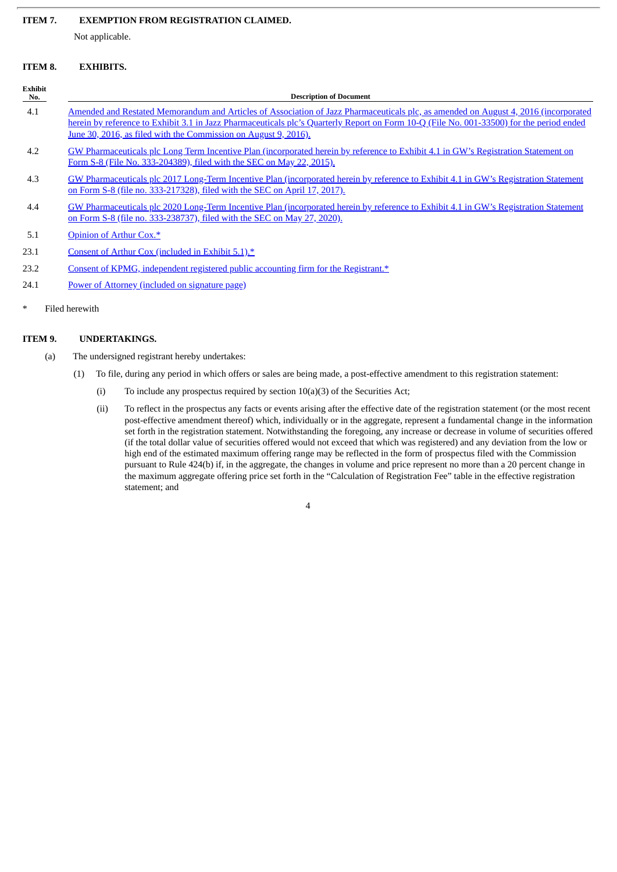#### **ITEM 7. EXEMPTION FROM REGISTRATION CLAIMED.**

Not applicable.

## **ITEM 8. EXHIBITS.**

| <b>Exhibit</b><br>No. | <b>Description of Document</b>                                                                                                                                                                                                                                                                                                                     |
|-----------------------|----------------------------------------------------------------------------------------------------------------------------------------------------------------------------------------------------------------------------------------------------------------------------------------------------------------------------------------------------|
| 4.1                   | Amended and Restated Memorandum and Articles of Association of Jazz Pharmaceuticals plc, as amended on August 4, 2016 (incorporated<br>herein by reference to Exhibit 3.1 in Jazz Pharmaceuticals plc's Quarterly Report on Form 10-Q (File No. 001-33500) for the period ended<br>June 30, 2016, as filed with the Commission on August 9, 2016). |
| 4.2                   | GW Pharmaceuticals plc Long Term Incentive Plan (incorporated herein by reference to Exhibit 4.1 in GW's Registration Statement on<br>Form S-8 (File No. 333-204389), filed with the SEC on May 22, 2015).                                                                                                                                         |
| 4.3                   | GW Pharmaceuticals plc 2017 Long-Term Incentive Plan (incorporated herein by reference to Exhibit 4.1 in GW's Registration Statement<br>on Form S-8 (file no. 333-217328), filed with the SEC on April 17, 2017).                                                                                                                                  |
| 4.4                   | GW Pharmaceuticals plc 2020 Long-Term Incentive Plan (incorporated herein by reference to Exhibit 4.1 in GW's Registration Statement<br>on Form S-8 (file no. 333-238737), filed with the SEC on May 27, 2020).                                                                                                                                    |
| 5.1                   | Opinion of Arthur Cox.*                                                                                                                                                                                                                                                                                                                            |
| 23.1                  | Consent of Arthur Cox (included in Exhibit 5.1).*                                                                                                                                                                                                                                                                                                  |
| 23.2                  | Consent of KPMG, independent registered public accounting firm for the Registrant.*                                                                                                                                                                                                                                                                |
| 24.1                  | Power of Attorney (included on signature page)                                                                                                                                                                                                                                                                                                     |

Filed herewith

## **ITEM 9. UNDERTAKINGS.**

- (a) The undersigned registrant hereby undertakes:
	- (1) To file, during any period in which offers or sales are being made, a post-effective amendment to this registration statement:
		- (i) To include any prospectus required by section 10(a)(3) of the Securities Act;
		- (ii) To reflect in the prospectus any facts or events arising after the effective date of the registration statement (or the most recent post-effective amendment thereof) which, individually or in the aggregate, represent a fundamental change in the information set forth in the registration statement. Notwithstanding the foregoing, any increase or decrease in volume of securities offered (if the total dollar value of securities offered would not exceed that which was registered) and any deviation from the low or high end of the estimated maximum offering range may be reflected in the form of prospectus filed with the Commission pursuant to Rule 424(b) if, in the aggregate, the changes in volume and price represent no more than a 20 percent change in the maximum aggregate offering price set forth in the "Calculation of Registration Fee" table in the effective registration statement; and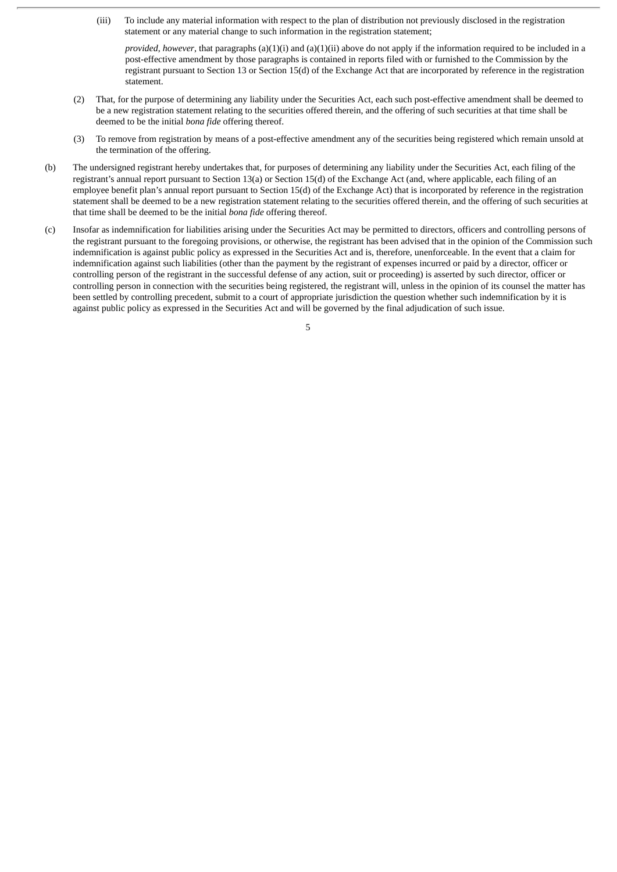(iii) To include any material information with respect to the plan of distribution not previously disclosed in the registration statement or any material change to such information in the registration statement;

*provided*, *however*, that paragraphs (a)(1)(i) and (a)(1)(ii) above do not apply if the information required to be included in a post-effective amendment by those paragraphs is contained in reports filed with or furnished to the Commission by the registrant pursuant to Section 13 or Section 15(d) of the Exchange Act that are incorporated by reference in the registration statement.

- (2) That, for the purpose of determining any liability under the Securities Act, each such post-effective amendment shall be deemed to be a new registration statement relating to the securities offered therein, and the offering of such securities at that time shall be deemed to be the initial *bona fide* offering thereof.
- (3) To remove from registration by means of a post-effective amendment any of the securities being registered which remain unsold at the termination of the offering.
- (b) The undersigned registrant hereby undertakes that, for purposes of determining any liability under the Securities Act, each filing of the registrant's annual report pursuant to Section 13(a) or Section 15(d) of the Exchange Act (and, where applicable, each filing of an employee benefit plan's annual report pursuant to Section 15(d) of the Exchange Act) that is incorporated by reference in the registration statement shall be deemed to be a new registration statement relating to the securities offered therein, and the offering of such securities at that time shall be deemed to be the initial *bona fide* offering thereof.
- (c) Insofar as indemnification for liabilities arising under the Securities Act may be permitted to directors, officers and controlling persons of the registrant pursuant to the foregoing provisions, or otherwise, the registrant has been advised that in the opinion of the Commission such indemnification is against public policy as expressed in the Securities Act and is, therefore, unenforceable. In the event that a claim for indemnification against such liabilities (other than the payment by the registrant of expenses incurred or paid by a director, officer or controlling person of the registrant in the successful defense of any action, suit or proceeding) is asserted by such director, officer or controlling person in connection with the securities being registered, the registrant will, unless in the opinion of its counsel the matter has been settled by controlling precedent, submit to a court of appropriate jurisdiction the question whether such indemnification by it is against public policy as expressed in the Securities Act and will be governed by the final adjudication of such issue.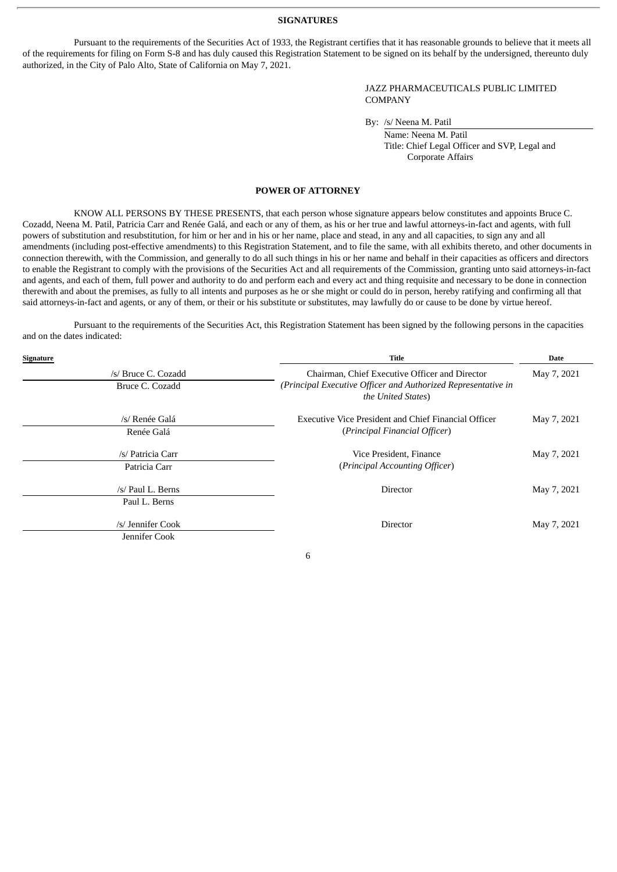#### **SIGNATURES**

Pursuant to the requirements of the Securities Act of 1933, the Registrant certifies that it has reasonable grounds to believe that it meets all of the requirements for filing on Form S-8 and has duly caused this Registration Statement to be signed on its behalf by the undersigned, thereunto duly authorized, in the City of Palo Alto, State of California on May 7, 2021.

> JAZZ PHARMACEUTICALS PUBLIC LIMITED COMPANY

By: /s/ Neena M. Patil

Name: Neena M. Patil Title: Chief Legal Officer and SVP, Legal and Corporate Affairs

## **POWER OF ATTORNEY**

<span id="page-7-0"></span>KNOW ALL PERSONS BY THESE PRESENTS, that each person whose signature appears below constitutes and appoints Bruce C. Cozadd, Neena M. Patil, Patricia Carr and Renée Galá, and each or any of them, as his or her true and lawful attorneys-in-fact and agents, with full powers of substitution and resubstitution, for him or her and in his or her name, place and stead, in any and all capacities, to sign any and all amendments (including post-effective amendments) to this Registration Statement, and to file the same, with all exhibits thereto, and other documents in connection therewith, with the Commission, and generally to do all such things in his or her name and behalf in their capacities as officers and directors to enable the Registrant to comply with the provisions of the Securities Act and all requirements of the Commission, granting unto said attorneys-in-fact and agents, and each of them, full power and authority to do and perform each and every act and thing requisite and necessary to be done in connection therewith and about the premises, as fully to all intents and purposes as he or she might or could do in person, hereby ratifying and confirming all that said attorneys-in-fact and agents, or any of them, or their or his substitute or substitutes, may lawfully do or cause to be done by virtue hereof.

Pursuant to the requirements of the Securities Act, this Registration Statement has been signed by the following persons in the capacities and on the dates indicated:

| Signature |                     | <b>Title</b>                                                                        | <b>Date</b> |  |
|-----------|---------------------|-------------------------------------------------------------------------------------|-------------|--|
|           | /s/ Bruce C. Cozadd | Chairman, Chief Executive Officer and Director                                      | May 7, 2021 |  |
|           | Bruce C. Cozadd     | (Principal Executive Officer and Authorized Representative in<br>the United States) |             |  |
|           | /s/ Renée Galá      | Executive Vice President and Chief Financial Officer                                | May 7, 2021 |  |
|           | Renée Galá          | (Principal Financial Officer)                                                       |             |  |
|           | /s/ Patricia Carr   | Vice President, Finance                                                             | May 7, 2021 |  |
|           | Patricia Carr       | (Principal Accounting Officer)                                                      |             |  |
|           | /s/ Paul L. Berns   | Director                                                                            | May 7, 2021 |  |
|           | Paul L. Berns       |                                                                                     |             |  |
|           | /s/ Jennifer Cook   | Director                                                                            | May 7, 2021 |  |
|           | Jennifer Cook       |                                                                                     |             |  |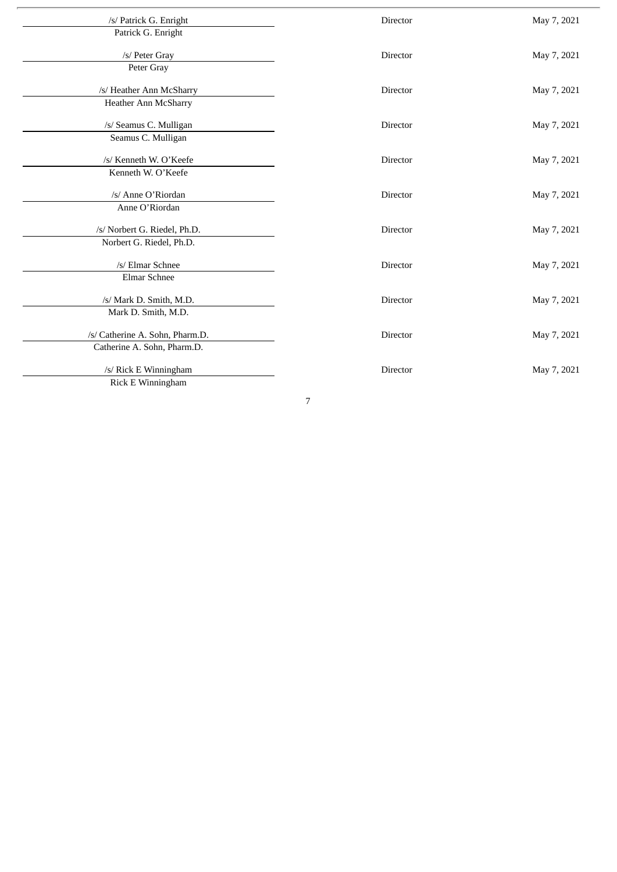| /s/ Patrick G. Enright          | Director        | May 7, 2021 |
|---------------------------------|-----------------|-------------|
| Patrick G. Enright              |                 |             |
| /s/ Peter Gray                  | <b>Director</b> | May 7, 2021 |
| Peter Gray                      |                 |             |
| /s/ Heather Ann McSharry        | Director        | May 7, 2021 |
| Heather Ann McSharry            |                 |             |
| /s/ Seamus C. Mulligan          | Director        | May 7, 2021 |
| Seamus C. Mulligan              |                 |             |
| /s/ Kenneth W. O'Keefe          | Director        | May 7, 2021 |
| Kenneth W. O'Keefe              |                 |             |
| /s/ Anne O'Riordan              | Director        | May 7, 2021 |
| Anne O'Riordan                  |                 |             |
| /s/ Norbert G. Riedel, Ph.D.    | Director        | May 7, 2021 |
| Norbert G. Riedel, Ph.D.        |                 |             |
| /s/ Elmar Schnee                | Director        | May 7, 2021 |
| Elmar Schnee                    |                 |             |
| /s/ Mark D. Smith, M.D.         | Director        | May 7, 2021 |
| Mark D. Smith, M.D.             |                 |             |
| /s/ Catherine A. Sohn, Pharm.D. | Director        | May 7, 2021 |
| Catherine A. Sohn, Pharm.D.     |                 |             |
| /s/ Rick E Winningham           | Director        | May 7, 2021 |
| Rick E Winningham               |                 |             |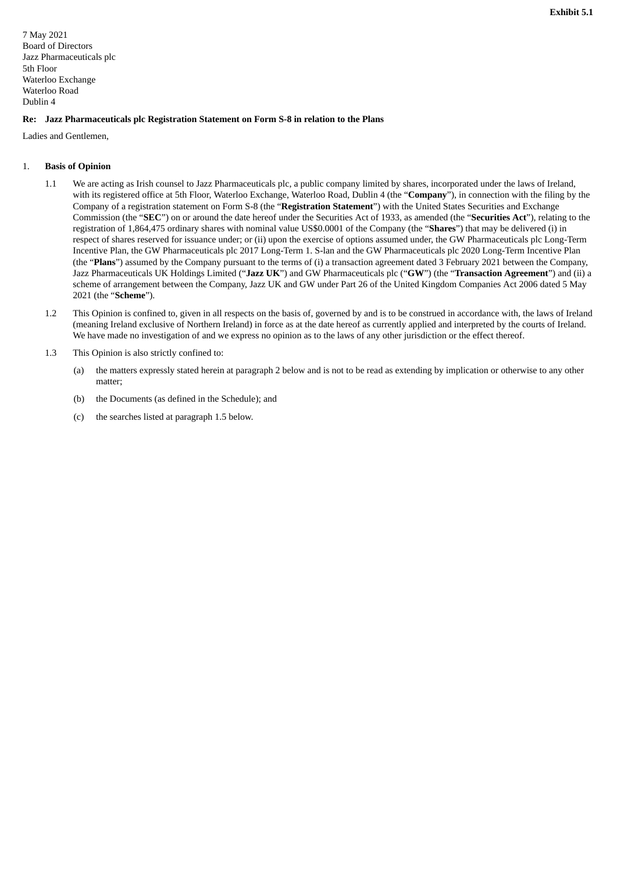<span id="page-9-0"></span>7 May 2021 Board of Directors Jazz Pharmaceuticals plc 5th Floor Waterloo Exchange Waterloo Road Dublin 4

## **Re: Jazz Pharmaceuticals plc Registration Statement on Form S-8 in relation to the Plans**

Ladies and Gentlemen,

## 1. **Basis of Opinion**

- 1.1 We are acting as Irish counsel to Jazz Pharmaceuticals plc, a public company limited by shares, incorporated under the laws of Ireland, with its registered office at 5th Floor, Waterloo Exchange, Waterloo Road, Dublin 4 (the "**Company**"), in connection with the filing by the Company of a registration statement on Form S-8 (the "**Registration Statement**") with the United States Securities and Exchange Commission (the "**SEC**") on or around the date hereof under the Securities Act of 1933, as amended (the "**Securities Act**"), relating to the registration of 1,864,475 ordinary shares with nominal value US\$0.0001 of the Company (the "**Shares**") that may be delivered (i) in respect of shares reserved for issuance under; or (ii) upon the exercise of options assumed under, the GW Pharmaceuticals plc Long-Term Incentive Plan, the GW Pharmaceuticals plc 2017 Long-Term 1. S-lan and the GW Pharmaceuticals plc 2020 Long-Term Incentive Plan (the "**Plans**") assumed by the Company pursuant to the terms of (i) a transaction agreement dated 3 February 2021 between the Company, Jazz Pharmaceuticals UK Holdings Limited ("**Jazz UK**") and GW Pharmaceuticals plc ("**GW**") (the "**Transaction Agreement**") and (ii) a scheme of arrangement between the Company, Jazz UK and GW under Part 26 of the United Kingdom Companies Act 2006 dated 5 May 2021 (the "**Scheme**").
- 1.2 This Opinion is confined to, given in all respects on the basis of, governed by and is to be construed in accordance with, the laws of Ireland (meaning Ireland exclusive of Northern Ireland) in force as at the date hereof as currently applied and interpreted by the courts of Ireland. We have made no investigation of and we express no opinion as to the laws of any other jurisdiction or the effect thereof.
- 1.3 This Opinion is also strictly confined to:
	- (a) the matters expressly stated herein at paragraph 2 below and is not to be read as extending by implication or otherwise to any other matter;
	- (b) the Documents (as defined in the Schedule); and
	- (c) the searches listed at paragraph 1.5 below.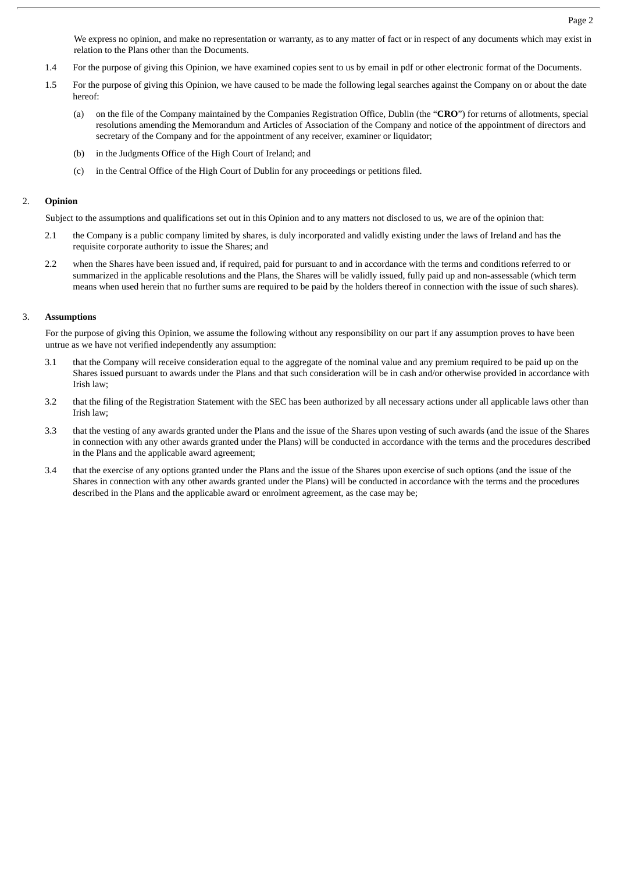We express no opinion, and make no representation or warranty, as to any matter of fact or in respect of any documents which may exist in relation to the Plans other than the Documents.

- 1.4 For the purpose of giving this Opinion, we have examined copies sent to us by email in pdf or other electronic format of the Documents.
- 1.5 For the purpose of giving this Opinion, we have caused to be made the following legal searches against the Company on or about the date hereof:
	- (a) on the file of the Company maintained by the Companies Registration Office, Dublin (the "**CRO**") for returns of allotments, special resolutions amending the Memorandum and Articles of Association of the Company and notice of the appointment of directors and secretary of the Company and for the appointment of any receiver, examiner or liquidator;
	- (b) in the Judgments Office of the High Court of Ireland; and
	- (c) in the Central Office of the High Court of Dublin for any proceedings or petitions filed.

#### 2. **Opinion**

Subject to the assumptions and qualifications set out in this Opinion and to any matters not disclosed to us, we are of the opinion that:

- 2.1 the Company is a public company limited by shares, is duly incorporated and validly existing under the laws of Ireland and has the requisite corporate authority to issue the Shares; and
- 2.2 when the Shares have been issued and, if required, paid for pursuant to and in accordance with the terms and conditions referred to or summarized in the applicable resolutions and the Plans, the Shares will be validly issued, fully paid up and non-assessable (which term means when used herein that no further sums are required to be paid by the holders thereof in connection with the issue of such shares).

## 3. **Assumptions**

For the purpose of giving this Opinion, we assume the following without any responsibility on our part if any assumption proves to have been untrue as we have not verified independently any assumption:

- 3.1 that the Company will receive consideration equal to the aggregate of the nominal value and any premium required to be paid up on the Shares issued pursuant to awards under the Plans and that such consideration will be in cash and/or otherwise provided in accordance with Irish law;
- 3.2 that the filing of the Registration Statement with the SEC has been authorized by all necessary actions under all applicable laws other than Irish law;
- 3.3 that the vesting of any awards granted under the Plans and the issue of the Shares upon vesting of such awards (and the issue of the Shares in connection with any other awards granted under the Plans) will be conducted in accordance with the terms and the procedures described in the Plans and the applicable award agreement;
- 3.4 that the exercise of any options granted under the Plans and the issue of the Shares upon exercise of such options (and the issue of the Shares in connection with any other awards granted under the Plans) will be conducted in accordance with the terms and the procedures described in the Plans and the applicable award or enrolment agreement, as the case may be;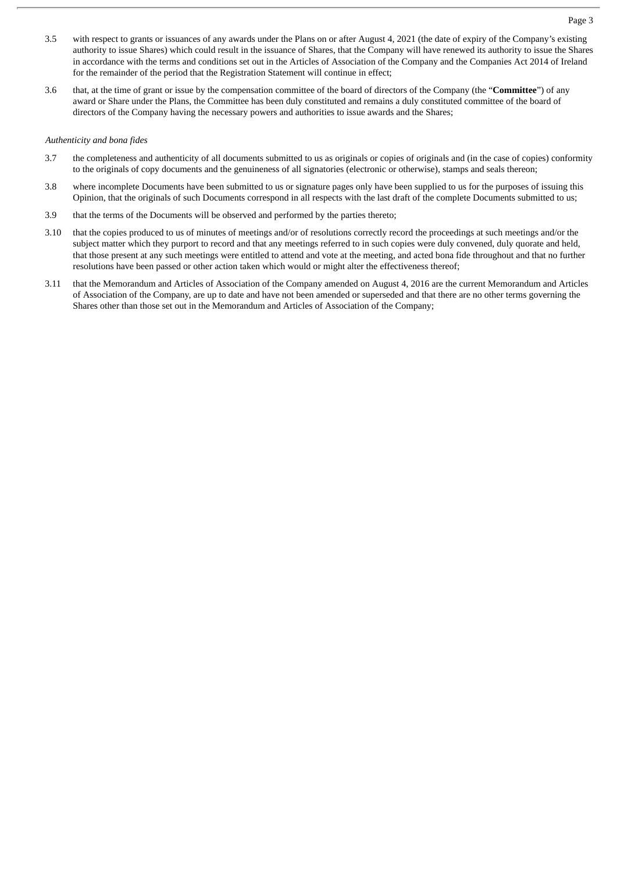- 3.5 with respect to grants or issuances of any awards under the Plans on or after August 4, 2021 (the date of expiry of the Company's existing authority to issue Shares) which could result in the issuance of Shares, that the Company will have renewed its authority to issue the Shares in accordance with the terms and conditions set out in the Articles of Association of the Company and the Companies Act 2014 of Ireland for the remainder of the period that the Registration Statement will continue in effect;
- 3.6 that, at the time of grant or issue by the compensation committee of the board of directors of the Company (the "**Committee**") of any award or Share under the Plans, the Committee has been duly constituted and remains a duly constituted committee of the board of directors of the Company having the necessary powers and authorities to issue awards and the Shares;

## *Authenticity and bona fides*

- 3.7 the completeness and authenticity of all documents submitted to us as originals or copies of originals and (in the case of copies) conformity to the originals of copy documents and the genuineness of all signatories (electronic or otherwise), stamps and seals thereon;
- 3.8 where incomplete Documents have been submitted to us or signature pages only have been supplied to us for the purposes of issuing this Opinion, that the originals of such Documents correspond in all respects with the last draft of the complete Documents submitted to us;
- 3.9 that the terms of the Documents will be observed and performed by the parties thereto;
- 3.10 that the copies produced to us of minutes of meetings and/or of resolutions correctly record the proceedings at such meetings and/or the subject matter which they purport to record and that any meetings referred to in such copies were duly convened, duly quorate and held, that those present at any such meetings were entitled to attend and vote at the meeting, and acted bona fide throughout and that no further resolutions have been passed or other action taken which would or might alter the effectiveness thereof;
- 3.11 that the Memorandum and Articles of Association of the Company amended on August 4, 2016 are the current Memorandum and Articles of Association of the Company, are up to date and have not been amended or superseded and that there are no other terms governing the Shares other than those set out in the Memorandum and Articles of Association of the Company;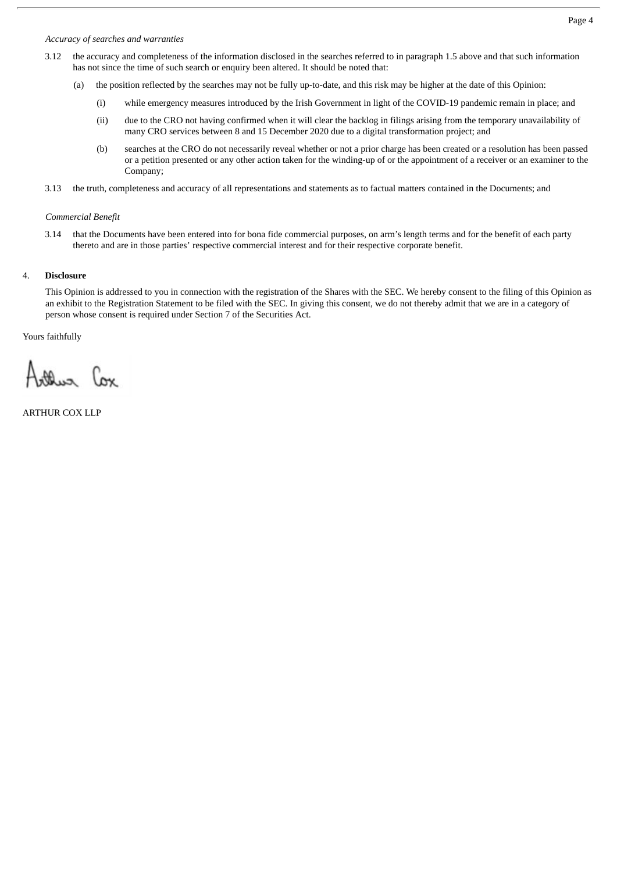## *Accuracy of searches and warranties*

- 3.12 the accuracy and completeness of the information disclosed in the searches referred to in paragraph 1.5 above and that such information has not since the time of such search or enquiry been altered. It should be noted that:
	- (a) the position reflected by the searches may not be fully up-to-date, and this risk may be higher at the date of this Opinion:
		- (i) while emergency measures introduced by the Irish Government in light of the COVID-19 pandemic remain in place; and
		- (ii) due to the CRO not having confirmed when it will clear the backlog in filings arising from the temporary unavailability of many CRO services between 8 and 15 December 2020 due to a digital transformation project; and
		- (b) searches at the CRO do not necessarily reveal whether or not a prior charge has been created or a resolution has been passed or a petition presented or any other action taken for the winding-up of or the appointment of a receiver or an examiner to the Company;
- 3.13 the truth, completeness and accuracy of all representations and statements as to factual matters contained in the Documents; and

#### *Commercial Benefit*

3.14 that the Documents have been entered into for bona fide commercial purposes, on arm's length terms and for the benefit of each party thereto and are in those parties' respective commercial interest and for their respective corporate benefit.

#### 4. **Disclosure**

This Opinion is addressed to you in connection with the registration of the Shares with the SEC. We hereby consent to the filing of this Opinion as an exhibit to the Registration Statement to be filed with the SEC. In giving this consent, we do not thereby admit that we are in a category of person whose consent is required under Section 7 of the Securities Act.

Yours faithfully

oller Cox

ARTHUR COX LLP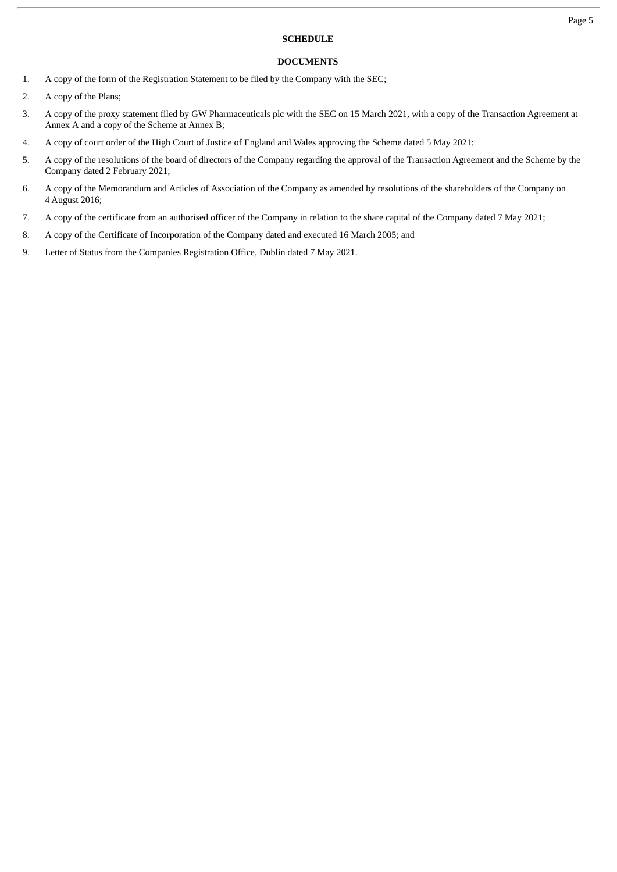## **SCHEDULE**

## **DOCUMENTS**

- 1. A copy of the form of the Registration Statement to be filed by the Company with the SEC;
- 2. A copy of the Plans;
- 3. A copy of the proxy statement filed by GW Pharmaceuticals plc with the SEC on 15 March 2021, with a copy of the Transaction Agreement at Annex A and a copy of the Scheme at Annex B;
- 4. A copy of court order of the High Court of Justice of England and Wales approving the Scheme dated 5 May 2021;
- 5. A copy of the resolutions of the board of directors of the Company regarding the approval of the Transaction Agreement and the Scheme by the Company dated 2 February 2021;
- 6. A copy of the Memorandum and Articles of Association of the Company as amended by resolutions of the shareholders of the Company on 4 August 2016;
- 7. A copy of the certificate from an authorised officer of the Company in relation to the share capital of the Company dated 7 May 2021;
- 8. A copy of the Certificate of Incorporation of the Company dated and executed 16 March 2005; and
- 9. Letter of Status from the Companies Registration Office, Dublin dated 7 May 2021.